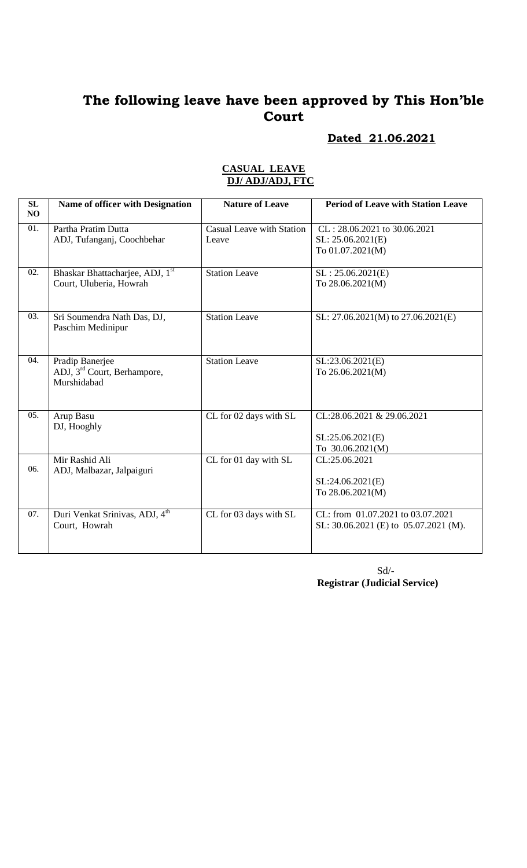# **Dated 21.06.2021**

#### **CASUAL LEAVE DJ/ ADJ/ADJ, FTC**

| SL<br>NO | <b>Name of officer with Designation</b>                                   | <b>Nature of Leave</b>                    | <b>Period of Leave with Station Leave</b>                                  |
|----------|---------------------------------------------------------------------------|-------------------------------------------|----------------------------------------------------------------------------|
| 01.      | Partha Pratim Dutta<br>ADJ, Tufanganj, Coochbehar                         | <b>Casual Leave with Station</b><br>Leave | CL: 28.06.2021 to 30.06.2021<br>SL: 25.06.2021(E)<br>To 01.07.2021(M)      |
| 02.      | Bhaskar Bhattacharjee, ADJ, 1st<br>Court, Uluberia, Howrah                | <b>Station Leave</b>                      | SL: 25.06.2021(E)<br>To 28.06.2021(M)                                      |
| 03.      | Sri Soumendra Nath Das, DJ,<br>Paschim Medinipur                          | <b>Station Leave</b>                      | SL: 27.06.2021(M) to 27.06.2021(E)                                         |
| 04.      | Pradip Banerjee<br>ADJ, 3 <sup>rd</sup> Court, Berhampore,<br>Murshidabad | <b>Station Leave</b>                      | SL:23.06.2021(E)<br>To 26.06.2021(M)                                       |
| 05.      | Arup Basu<br>DJ, Hooghly                                                  | CL for 02 days with SL                    | CL:28.06.2021 & 29.06.2021<br>SL:25.06.2021(E)<br>To 30.06.2021(M)         |
| 06.      | Mir Rashid Ali<br>ADJ, Malbazar, Jalpaiguri                               | CL for 01 day with SL                     | CL:25.06.2021<br>SL:24.06.2021(E)<br>To 28.06.2021(M)                      |
| 07.      | Duri Venkat Srinivas, ADJ, 4 <sup>th</sup><br>Court, Howrah               | CL for 03 days with SL                    | CL: from 01.07.2021 to 03.07.2021<br>SL: 30.06.2021 (E) to 05.07.2021 (M). |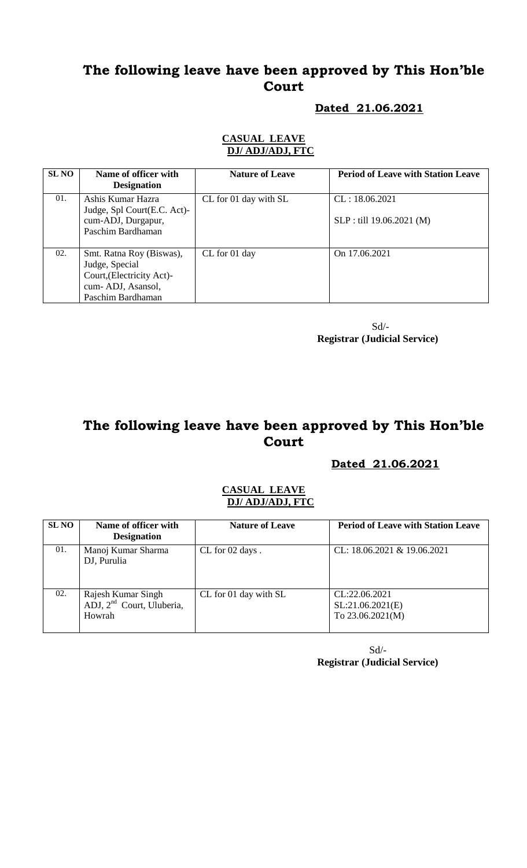### **Dated 21.06.2021**

#### **CASUAL LEAVE DJ/ ADJ/ADJ, FTC**

| <b>SL NO</b> | Name of officer with<br><b>Designation</b>                                                                        | <b>Nature of Leave</b> | <b>Period of Leave with Station Leave</b>   |
|--------------|-------------------------------------------------------------------------------------------------------------------|------------------------|---------------------------------------------|
| 01.          | Ashis Kumar Hazra<br>Judge, Spl Court(E.C. Act)-<br>cum-ADJ, Durgapur,<br>Paschim Bardhaman                       | CL for 01 day with SL  | CL: 18.06.2021<br>SLP : till 19.06.2021 (M) |
| 02.          | Smt. Ratna Roy (Biswas),<br>Judge, Special<br>Court, (Electricity Act)-<br>cum-ADJ, Asansol,<br>Paschim Bardhaman | CL for 01 day          | On 17.06.2021                               |

 Sd/- **Registrar (Judicial Service)**

# **The following leave have been approved by This Hon'ble Court**

### **Dated 21.06.2021**

#### **CASUAL LEAVE DJ/ ADJ/ADJ, FTC**

| <b>SL NO</b> | Name of officer with<br><b>Designation</b>                            | <b>Nature of Leave</b> | <b>Period of Leave with Station Leave</b>               |
|--------------|-----------------------------------------------------------------------|------------------------|---------------------------------------------------------|
| 01.          | Manoj Kumar Sharma<br>DJ, Purulia                                     | CL for 02 days.        | CL: $18.06.2021 \& 19.06.2021$                          |
| 02.          | Rajesh Kumar Singh<br>ADJ, 2 <sup>nd</sup> Court, Uluberia,<br>Howrah | CL for 01 day with SL  | CL:22.06.2021<br>SL:21.06.2021(E)<br>To $23.06.2021(M)$ |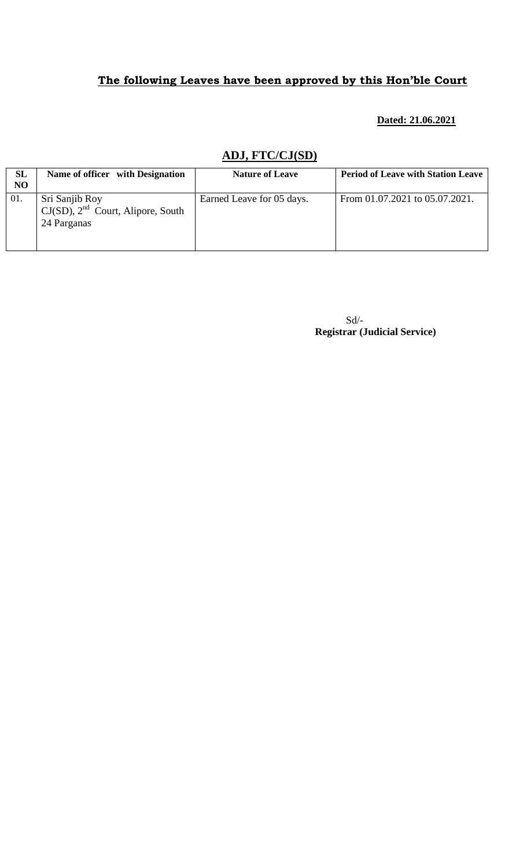#### **Dated: 21.06.2021**

# **ADJ, FTC/CJ(SD)**

| <b>SL</b><br>N <sub>O</sub> | Name of officer with Designation                                        | <b>Nature of Leave</b>    | <b>Period of Leave with Station Leave</b> |
|-----------------------------|-------------------------------------------------------------------------|---------------------------|-------------------------------------------|
| 01.                         | Sri Sanjib Roy<br>$CJ(SD)$ , $2nd$ Court, Alipore, South<br>24 Parganas | Earned Leave for 05 days. | From 01.07.2021 to 05.07.2021.            |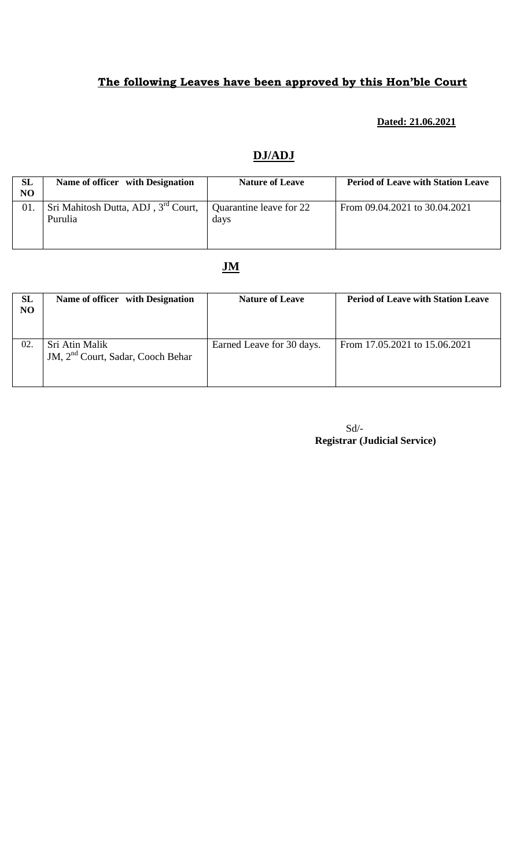### **Dated: 21.06.2021**

## **DJ/ADJ**

| <b>SL</b><br>N <sub>O</sub> | Name of officer with Designation                           | <b>Nature of Leave</b>          | <b>Period of Leave with Station Leave</b> |
|-----------------------------|------------------------------------------------------------|---------------------------------|-------------------------------------------|
| 01.                         | Sri Mahitosh Dutta, ADJ, 3 <sup>rd</sup> Court,<br>Purulia | Quarantine leave for 22<br>days | From 09.04.2021 to 30.04.2021             |

### **JM**

| <b>SL</b><br>NO | Name of officer with Designation                                | <b>Nature of Leave</b>    | <b>Period of Leave with Station Leave</b> |
|-----------------|-----------------------------------------------------------------|---------------------------|-------------------------------------------|
| 02.             | Sri Atin Malik<br>JM, 2 <sup>nd</sup> Court, Sadar, Cooch Behar | Earned Leave for 30 days. | From 17.05.2021 to 15.06.2021             |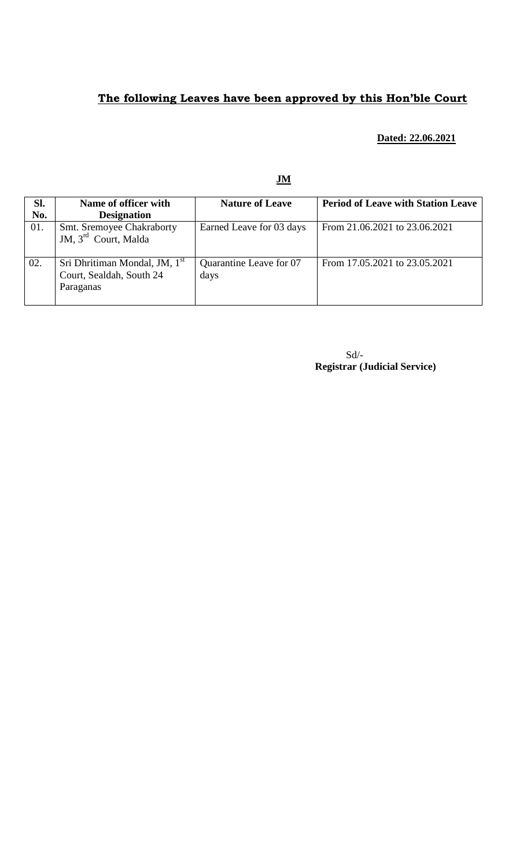#### **Dated: 22.06.2021**

| SI.<br>No. | Name of officer with<br><b>Designation</b>                                         | <b>Nature of Leave</b>          | <b>Period of Leave with Station Leave</b> |
|------------|------------------------------------------------------------------------------------|---------------------------------|-------------------------------------------|
| 01.        | Smt. Sremoyee Chakraborty<br>JM, 3 <sup>rd</sup> Court, Malda                      | Earned Leave for 03 days        | From 21.06.2021 to 23.06.2021             |
| 02.        | Sri Dhritiman Mondal, JM, 1 <sup>st</sup><br>Court, Sealdah, South 24<br>Paraganas | Quarantine Leave for 07<br>days | From 17.05.2021 to 23.05.2021             |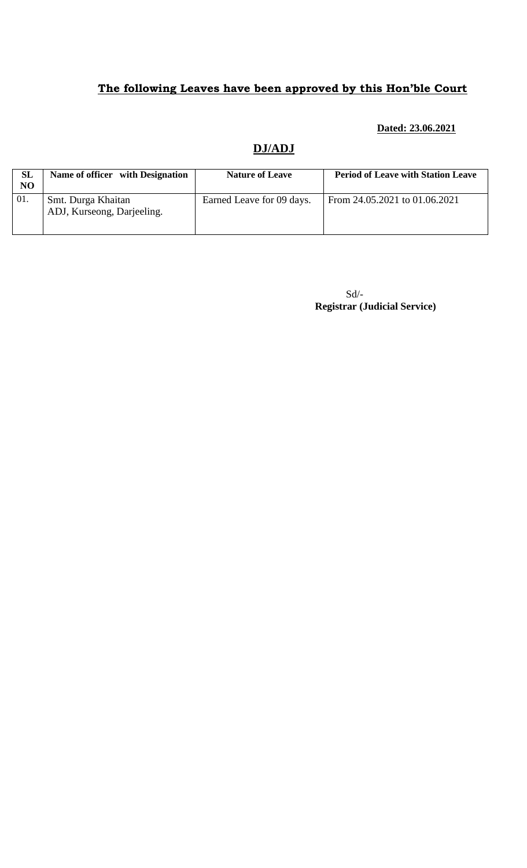#### **Dated: 23.06.2021**

### **DJ/ADJ**

| <b>SL</b><br>NO | Name of officer with Designation | <b>Nature of Leave</b>    | <b>Period of Leave with Station Leave</b> |
|-----------------|----------------------------------|---------------------------|-------------------------------------------|
|                 |                                  |                           |                                           |
| 01.             | Smt. Durga Khaitan               | Earned Leave for 09 days. | From 24.05.2021 to 01.06.2021             |
|                 | ADJ, Kurseong, Darjeeling.       |                           |                                           |
|                 |                                  |                           |                                           |
|                 |                                  |                           |                                           |